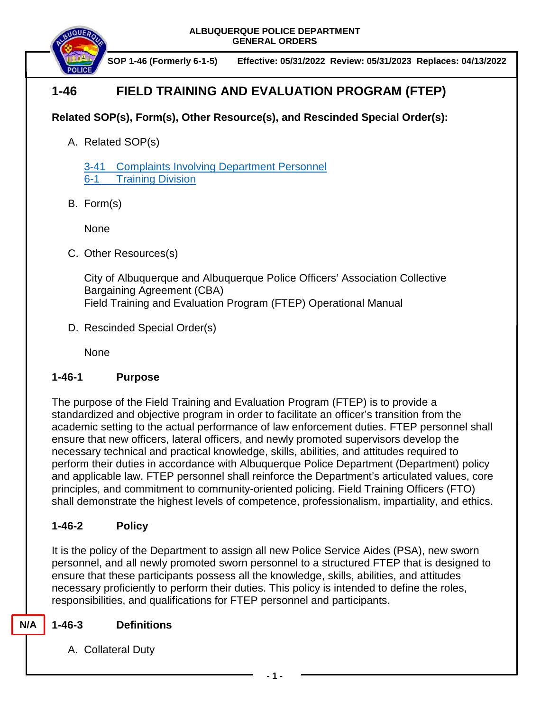

 **SOP 1-46 (Formerly 6-1-5) Effective: 05/31/2022 Review: 05/31/2023 Replaces: 04/13/2022**

# **1-46 FIELD TRAINING AND EVALUATION PROGRAM (FTEP)**

## **Related SOP(s), Form(s), Other Resource(s), and Rescinded Special Order(s):**

A. Related SOP(s)

[3-41 Complaints Involving Department Personnel](https://powerdms.com/docs/184?q=3-41) 6-1 [Training Division](https://powerdms.com/docs/442?q=6-1)

B. Form(s)

None

C. Other Resources(s)

City of Albuquerque and Albuquerque Police Officers' Association Collective Bargaining Agreement (CBA) Field Training and Evaluation Program (FTEP) Operational Manual

D. Rescinded Special Order(s)

None

### **1-46-1 Purpose**

The purpose of the Field Training and Evaluation Program (FTEP) is to provide a standardized and objective program in order to facilitate an officer's transition from the academic setting to the actual performance of law enforcement duties. FTEP personnel shall ensure that new officers, lateral officers, and newly promoted supervisors develop the necessary technical and practical knowledge, skills, abilities, and attitudes required to perform their duties in accordance with Albuquerque Police Department (Department) policy and applicable law. FTEP personnel shall reinforce the Department's articulated values, core principles, and commitment to community-oriented policing. Field Training Officers (FTO) shall demonstrate the highest levels of competence, professionalism, impartiality, and ethics.

### **1-46-2 Policy**

It is the policy of the Department to assign all new Police Service Aides (PSA), new sworn personnel, and all newly promoted sworn personnel to a structured FTEP that is designed to ensure that these participants possess all the knowledge, skills, abilities, and attitudes necessary proficiently to perform their duties. This policy is intended to define the roles, responsibilities, and qualifications for FTEP personnel and participants.

### **1-46-3 Definitions**

**N/A**

A. Collateral Duty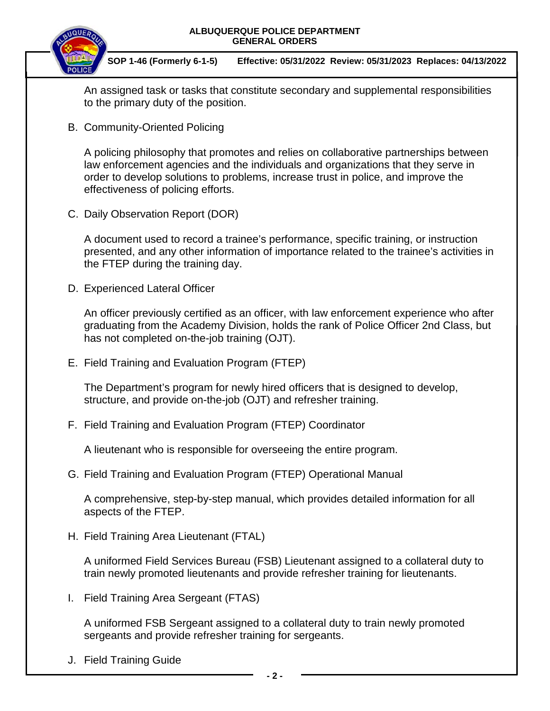

 **SOP 1-46 (Formerly 6-1-5) Effective: 05/31/2022 Review: 05/31/2023 Replaces: 04/13/2022**

An assigned task or tasks that constitute secondary and supplemental responsibilities to the primary duty of the position.

B. Community-Oriented Policing

A policing philosophy that promotes and relies on collaborative partnerships between law enforcement agencies and the individuals and organizations that they serve in order to develop solutions to problems, increase trust in police, and improve the effectiveness of policing efforts.

C. Daily Observation Report (DOR)

A document used to record a trainee's performance, specific training, or instruction presented, and any other information of importance related to the trainee's activities in the FTEP during the training day.

D. Experienced Lateral Officer

An officer previously certified as an officer, with law enforcement experience who after graduating from the Academy Division, holds the rank of Police Officer 2nd Class, but has not completed on-the-job training (OJT).

E. Field Training and Evaluation Program (FTEP)

The Department's program for newly hired officers that is designed to develop, structure, and provide on-the-job (OJT) and refresher training.

F. Field Training and Evaluation Program (FTEP) Coordinator

A lieutenant who is responsible for overseeing the entire program.

G. Field Training and Evaluation Program (FTEP) Operational Manual

A comprehensive, step-by-step manual, which provides detailed information for all aspects of the FTEP.

H. Field Training Area Lieutenant (FTAL)

A uniformed Field Services Bureau (FSB) Lieutenant assigned to a collateral duty to train newly promoted lieutenants and provide refresher training for lieutenants.

I. Field Training Area Sergeant (FTAS)

A uniformed FSB Sergeant assigned to a collateral duty to train newly promoted sergeants and provide refresher training for sergeants.

J. Field Training Guide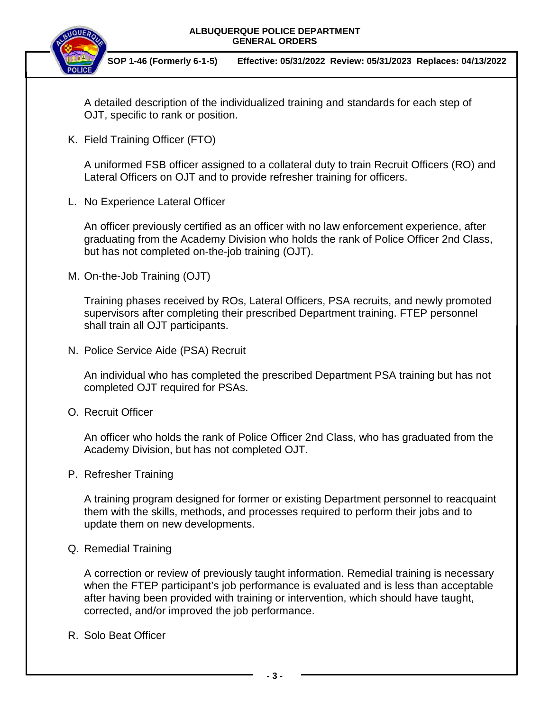

 **SOP 1-46 (Formerly 6-1-5) Effective: 05/31/2022 Review: 05/31/2023 Replaces: 04/13/2022**

A detailed description of the individualized training and standards for each step of OJT, specific to rank or position.

K. Field Training Officer (FTO)

A uniformed FSB officer assigned to a collateral duty to train Recruit Officers (RO) and Lateral Officers on OJT and to provide refresher training for officers.

L. No Experience Lateral Officer

An officer previously certified as an officer with no law enforcement experience, after graduating from the Academy Division who holds the rank of Police Officer 2nd Class, but has not completed on-the-job training (OJT).

M. On-the-Job Training (OJT)

Training phases received by ROs, Lateral Officers, PSA recruits, and newly promoted supervisors after completing their prescribed Department training. FTEP personnel shall train all OJT participants.

N. Police Service Aide (PSA) Recruit

An individual who has completed the prescribed Department PSA training but has not completed OJT required for PSAs.

O. Recruit Officer

An officer who holds the rank of Police Officer 2nd Class, who has graduated from the Academy Division, but has not completed OJT.

P. Refresher Training

A training program designed for former or existing Department personnel to reacquaint them with the skills, methods, and processes required to perform their jobs and to update them on new developments.

Q. Remedial Training

A correction or review of previously taught information. Remedial training is necessary when the FTEP participant's job performance is evaluated and is less than acceptable after having been provided with training or intervention, which should have taught, corrected, and/or improved the job performance.

R. Solo Beat Officer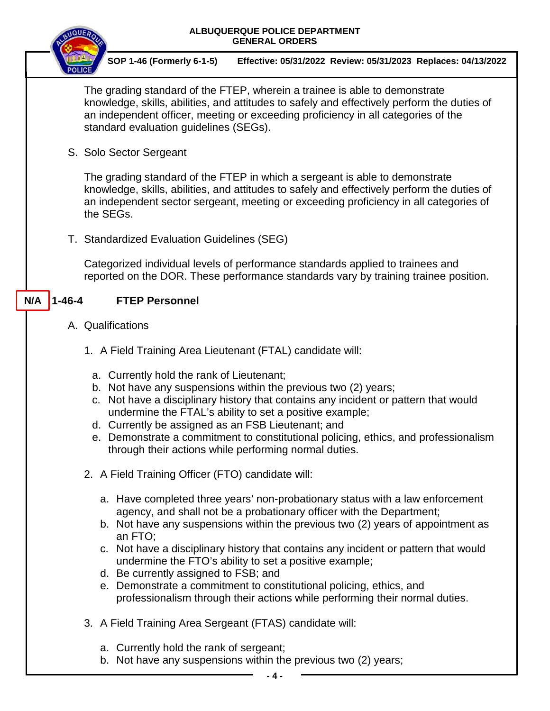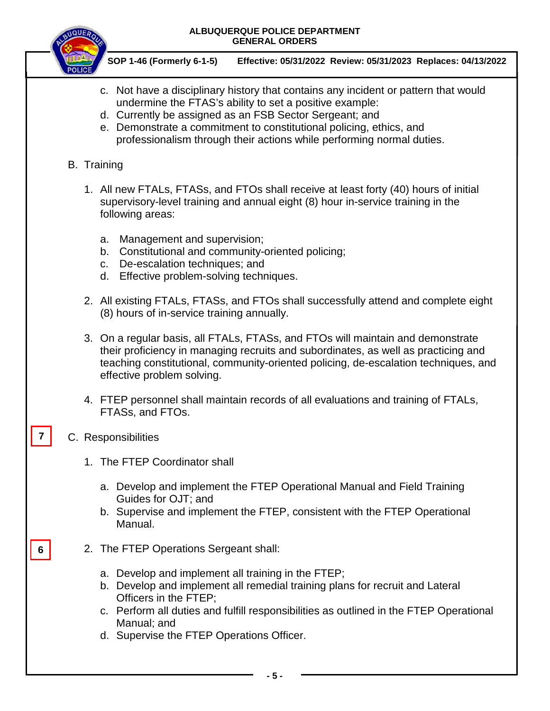

 **SOP 1-46 (Formerly 6-1-5) Effective: 05/31/2022 Review: 05/31/2023 Replaces: 04/13/2022**

- c. Not have a disciplinary history that contains any incident or pattern that would undermine the FTAS's ability to set a positive example:
- d. Currently be assigned as an FSB Sector Sergeant; and
- e. Demonstrate a commitment to constitutional policing, ethics, and professionalism through their actions while performing normal duties.
- B. Training
	- 1. All new FTALs, FTASs, and FTOs shall receive at least forty (40) hours of initial supervisory-level training and annual eight (8) hour in-service training in the following areas:
		- a. Management and supervision;
		- b. Constitutional and community-oriented policing;
		- c. De-escalation techniques; and
		- d. Effective problem-solving techniques.
	- 2. All existing FTALs, FTASs, and FTOs shall successfully attend and complete eight (8) hours of in-service training annually.
	- 3. On a regular basis, all FTALs, FTASs, and FTOs will maintain and demonstrate their proficiency in managing recruits and subordinates, as well as practicing and teaching constitutional, community-oriented policing, de-escalation techniques, and effective problem solving.
	- 4. FTEP personnel shall maintain records of all evaluations and training of FTALs, FTASs, and FTOs.
- C. Responsibilities

**7**

**6**

- 1. The FTEP Coordinator shall
	- a. Develop and implement the FTEP Operational Manual and Field Training Guides for OJT; and
	- b. Supervise and implement the FTEP, consistent with the FTEP Operational Manual.
- 2. The FTEP Operations Sergeant shall:
	- a. Develop and implement all training in the FTEP;
	- b. Develop and implement all remedial training plans for recruit and Lateral Officers in the FTEP;
	- c. Perform all duties and fulfill responsibilities as outlined in the FTEP Operational Manual; and
	- d. Supervise the FTEP Operations Officer.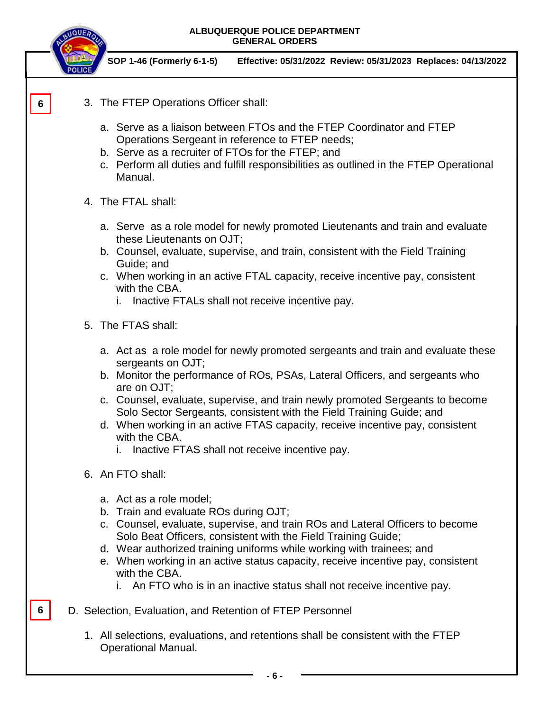

1. All selections, evaluations, and retentions shall be consistent with the FTEP Operational Manual.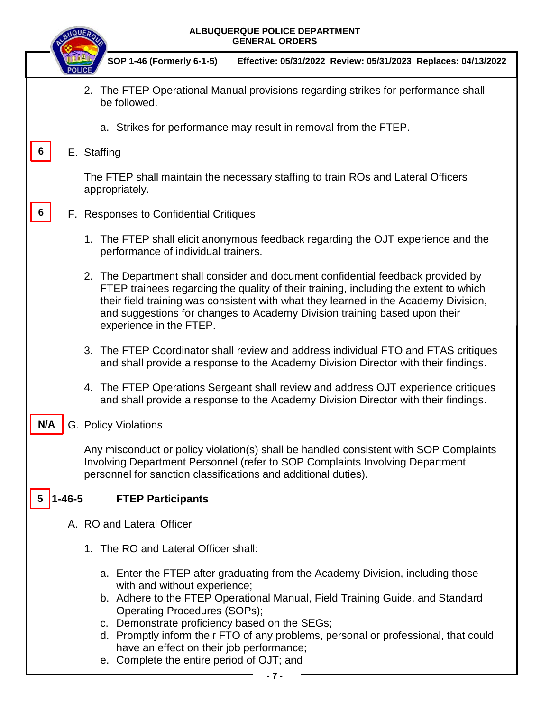|                   | ALBUQUERQUE POLICE DEPARTMENT<br><b>NQUE</b><br><b>GENERAL ORDERS</b>                                                                                                                                                                                                                                                                                                                                                                                                         |
|-------------------|-------------------------------------------------------------------------------------------------------------------------------------------------------------------------------------------------------------------------------------------------------------------------------------------------------------------------------------------------------------------------------------------------------------------------------------------------------------------------------|
|                   | SOP 1-46 (Formerly 6-1-5)<br>Effective: 05/31/2022 Review: 05/31/2023 Replaces: 04/13/2022                                                                                                                                                                                                                                                                                                                                                                                    |
|                   | 2. The FTEP Operational Manual provisions regarding strikes for performance shall<br>be followed.                                                                                                                                                                                                                                                                                                                                                                             |
|                   | a. Strikes for performance may result in removal from the FTEP.                                                                                                                                                                                                                                                                                                                                                                                                               |
|                   | E. Staffing                                                                                                                                                                                                                                                                                                                                                                                                                                                                   |
|                   | The FTEP shall maintain the necessary staffing to train ROs and Lateral Officers<br>appropriately.                                                                                                                                                                                                                                                                                                                                                                            |
| 6                 | F. Responses to Confidential Critiques                                                                                                                                                                                                                                                                                                                                                                                                                                        |
|                   | 1. The FTEP shall elicit anonymous feedback regarding the OJT experience and the<br>performance of individual trainers.                                                                                                                                                                                                                                                                                                                                                       |
|                   | 2. The Department shall consider and document confidential feedback provided by<br>FTEP trainees regarding the quality of their training, including the extent to which<br>their field training was consistent with what they learned in the Academy Division,<br>and suggestions for changes to Academy Division training based upon their<br>experience in the FTEP.                                                                                                        |
|                   | 3. The FTEP Coordinator shall review and address individual FTO and FTAS critiques<br>and shall provide a response to the Academy Division Director with their findings.                                                                                                                                                                                                                                                                                                      |
|                   | 4. The FTEP Operations Sergeant shall review and address OJT experience critiques<br>and shall provide a response to the Academy Division Director with their findings.                                                                                                                                                                                                                                                                                                       |
| N/A               | G. Policy Violations                                                                                                                                                                                                                                                                                                                                                                                                                                                          |
|                   | Any misconduct or policy violation(s) shall be handled consistent with SOP Complaints<br>Involving Department Personnel (refer to SOP Complaints Involving Department<br>personnel for sanction classifications and additional duties).                                                                                                                                                                                                                                       |
| $1 - 46 - 5$<br>5 | <b>FTEP Participants</b>                                                                                                                                                                                                                                                                                                                                                                                                                                                      |
|                   | A. RO and Lateral Officer                                                                                                                                                                                                                                                                                                                                                                                                                                                     |
|                   | 1. The RO and Lateral Officer shall:                                                                                                                                                                                                                                                                                                                                                                                                                                          |
|                   | a. Enter the FTEP after graduating from the Academy Division, including those<br>with and without experience;<br>b. Adhere to the FTEP Operational Manual, Field Training Guide, and Standard<br><b>Operating Procedures (SOPs);</b><br>c. Demonstrate proficiency based on the SEGs;<br>d. Promptly inform their FTO of any problems, personal or professional, that could<br>have an effect on their job performance;<br>e. Complete the entire period of OJT; and<br>- 7 - |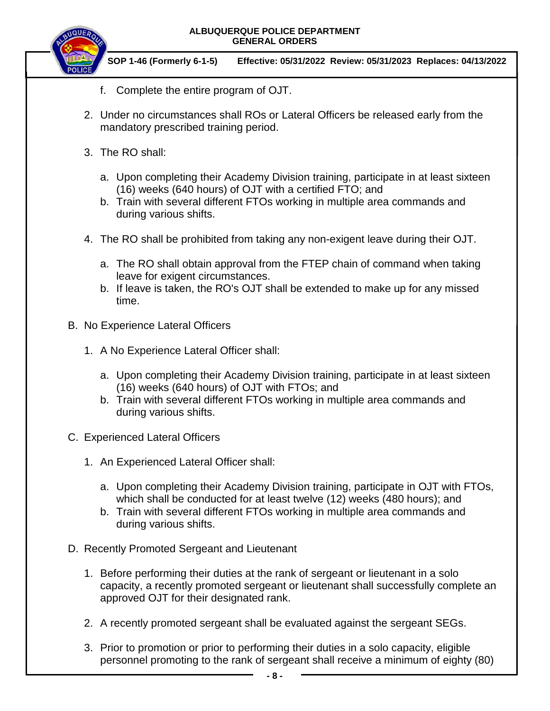

 **SOP 1-46 (Formerly 6-1-5) Effective: 05/31/2022 Review: 05/31/2023 Replaces: 04/13/2022**

- f. Complete the entire program of OJT.
- 2. Under no circumstances shall ROs or Lateral Officers be released early from the mandatory prescribed training period.
- 3. The RO shall:
	- a. Upon completing their Academy Division training, participate in at least sixteen (16) weeks (640 hours) of OJT with a certified FTO; and
	- b. Train with several different FTOs working in multiple area commands and during various shifts.
- 4. The RO shall be prohibited from taking any non-exigent leave during their OJT.
	- a. The RO shall obtain approval from the FTEP chain of command when taking leave for exigent circumstances.
	- b. If leave is taken, the RO's OJT shall be extended to make up for any missed time.
- B. No Experience Lateral Officers
	- 1. A No Experience Lateral Officer shall:
		- a. Upon completing their Academy Division training, participate in at least sixteen (16) weeks (640 hours) of OJT with FTOs; and
		- b. Train with several different FTOs working in multiple area commands and during various shifts.
- C. Experienced Lateral Officers
	- 1. An Experienced Lateral Officer shall:
		- a. Upon completing their Academy Division training, participate in OJT with FTOs, which shall be conducted for at least twelve (12) weeks (480 hours); and
		- b. Train with several different FTOs working in multiple area commands and during various shifts.
- D. Recently Promoted Sergeant and Lieutenant
	- 1. Before performing their duties at the rank of sergeant or lieutenant in a solo capacity, a recently promoted sergeant or lieutenant shall successfully complete an approved OJT for their designated rank.
	- 2. A recently promoted sergeant shall be evaluated against the sergeant SEGs.
	- 3. Prior to promotion or prior to performing their duties in a solo capacity, eligible personnel promoting to the rank of sergeant shall receive a minimum of eighty (80)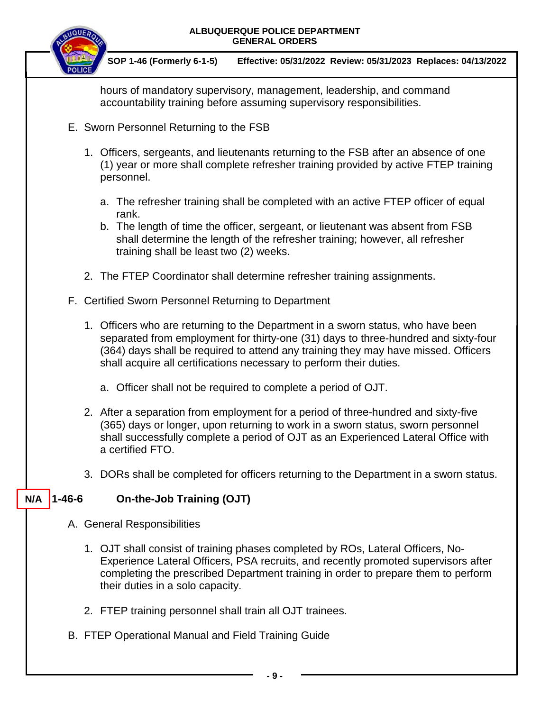

 **SOP 1-46 (Formerly 6-1-5) Effective: 05/31/2022 Review: 05/31/2023 Replaces: 04/13/2022**

hours of mandatory supervisory, management, leadership, and command accountability training before assuming supervisory responsibilities.

- E. Sworn Personnel Returning to the FSB
	- 1. Officers, sergeants, and lieutenants returning to the FSB after an absence of one (1) year or more shall complete refresher training provided by active FTEP training personnel.
		- a. The refresher training shall be completed with an active FTEP officer of equal rank.
		- b. The length of time the officer, sergeant, or lieutenant was absent from FSB shall determine the length of the refresher training; however, all refresher training shall be least two (2) weeks.
	- 2. The FTEP Coordinator shall determine refresher training assignments.
- F. Certified Sworn Personnel Returning to Department
	- 1. Officers who are returning to the Department in a sworn status, who have been separated from employment for thirty-one (31) days to three-hundred and sixty-four (364) days shall be required to attend any training they may have missed. Officers shall acquire all certifications necessary to perform their duties.
		- a. Officer shall not be required to complete a period of OJT.
	- 2. After a separation from employment for a period of three-hundred and sixty-five (365) days or longer, upon returning to work in a sworn status, sworn personnel shall successfully complete a period of OJT as an Experienced Lateral Office with a certified FTO.
	- 3. DORs shall be completed for officers returning to the Department in a sworn status.

#### **1-46-6 On-the-Job Training (OJT) N/A**

- A. General Responsibilities
	- 1. OJT shall consist of training phases completed by ROs, Lateral Officers, No-Experience Lateral Officers, PSA recruits, and recently promoted supervisors after completing the prescribed Department training in order to prepare them to perform their duties in a solo capacity.
	- 2. FTEP training personnel shall train all OJT trainees.
- B. FTEP Operational Manual and Field Training Guide